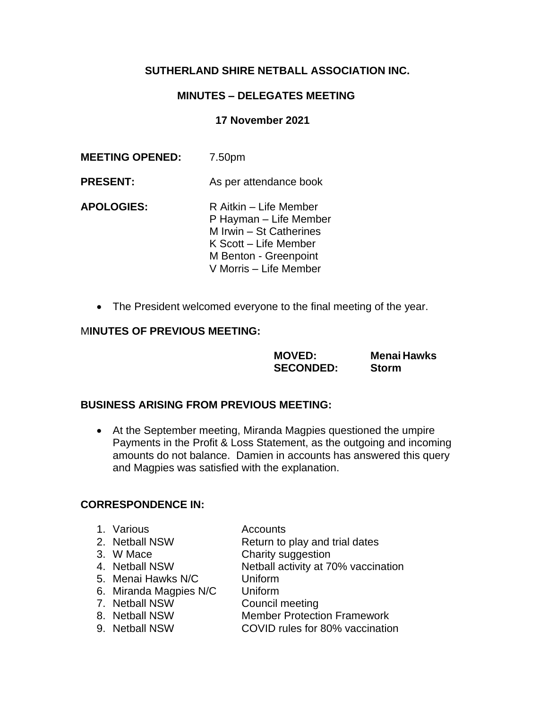# **SUTHERLAND SHIRE NETBALL ASSOCIATION INC.**

# **MINUTES – DELEGATES MEETING**

#### **17 November 2021**

| <b>MEETING OPENED:</b> | 7.50pm                                                                                                                                                  |
|------------------------|---------------------------------------------------------------------------------------------------------------------------------------------------------|
| <b>PRESENT:</b>        | As per attendance book                                                                                                                                  |
| <b>APOLOGIES:</b>      | R Aitkin - Life Member<br>P Hayman - Life Member<br>M Irwin - St Catherines<br>K Scott – Life Member<br>M Benton - Greenpoint<br>V Morris - Life Member |

• The President welcomed everyone to the final meeting of the year.

## M**INUTES OF PREVIOUS MEETING:**

**MOVED: Menai Hawks SECONDED: Storm** 

## **BUSINESS ARISING FROM PREVIOUS MEETING:**

• At the September meeting, Miranda Magpies questioned the umpire Payments in the Profit & Loss Statement, as the outgoing and incoming amounts do not balance. Damien in accounts has answered this query and Magpies was satisfied with the explanation.

#### **CORRESPONDENCE IN:**

- 1. Various **Accounts**
- 2. Netball NSW Return to play and trial dates
- 3. W Mace Charity suggestion
- 4. Netball NSW Netball activity at 70% vaccination

5. Menai Hawks N/C Uniform

- 6. Miranda Magpies N/C Uniform
- 7. Netball NSW Council meeting
- 

8. Netball NSW Member Protection Framework

9. Netball NSW COVID rules for 80% vaccination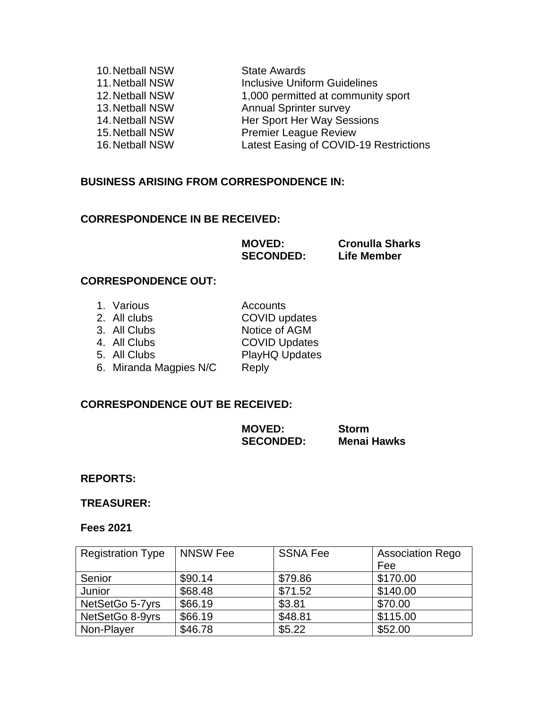| 10. Netball NSW | <b>State Awards</b>                    |
|-----------------|----------------------------------------|
| 11. Netball NSW | <b>Inclusive Uniform Guidelines</b>    |
| 12. Netball NSW | 1,000 permitted at community sport     |
| 13. Netball NSW | <b>Annual Sprinter survey</b>          |
| 14. Netball NSW | Her Sport Her Way Sessions             |
| 15. Netball NSW | <b>Premier League Review</b>           |
| 16. Netball NSW | Latest Easing of COVID-19 Restrictions |
|                 |                                        |

## **BUSINESS ARISING FROM CORRESPONDENCE IN:**

## **CORRESPONDENCE IN BE RECEIVED:**

**MOVED: Cronulla Sharks SECONDED: Life Member**

## **CORRESPONDENCE OUT:**

| Accounts                                                                                             |
|------------------------------------------------------------------------------------------------------|
| COVID updates                                                                                        |
| Notice of AGM                                                                                        |
| <b>COVID Updates</b>                                                                                 |
| PlayHQ Updates                                                                                       |
| Reply                                                                                                |
| 1. Various<br>2. All clubs<br>3. All Clubs<br>4. All Clubs<br>5. All Clubs<br>6. Miranda Magpies N/C |

# **CORRESPONDENCE OUT BE RECEIVED:**

| <b>MOVED:</b>    | <b>Storm</b>       |
|------------------|--------------------|
| <b>SECONDED:</b> | <b>Menai Hawks</b> |

**REPORTS:**

**TREASURER:**

#### **Fees 2021**

| <b>Registration Type</b> | <b>NNSW Fee</b> | <b>SSNA Fee</b> | <b>Association Rego</b> |
|--------------------------|-----------------|-----------------|-------------------------|
|                          |                 |                 | Fee                     |
| Senior                   | \$90.14         | \$79.86         | \$170.00                |
| Junior                   | \$68.48         | \$71.52         | \$140.00                |
| NetSetGo 5-7yrs          | \$66.19         | \$3.81          | \$70.00                 |
| NetSetGo 8-9yrs          | \$66.19         | \$48.81         | \$115.00                |
| Non-Player               | \$46.78         | \$5.22          | \$52.00                 |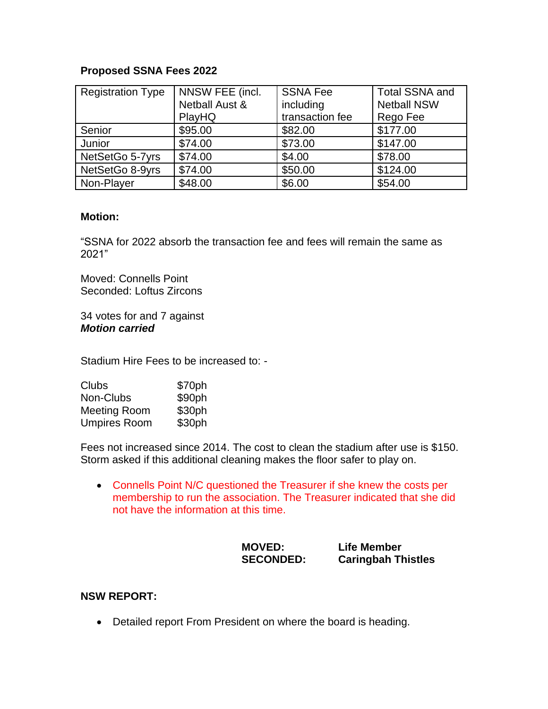# **Proposed SSNA Fees 2022**

| <b>Registration Type</b> | NNSW FEE (incl.           | <b>SSNA Fee</b> | <b>Total SSNA and</b> |
|--------------------------|---------------------------|-----------------|-----------------------|
|                          | <b>Netball Aust &amp;</b> | including       | <b>Netball NSW</b>    |
|                          | PlayHQ                    | transaction fee | Rego Fee              |
| Senior                   | \$95.00                   | \$82.00         | \$177.00              |
| Junior                   | \$74.00                   | \$73.00         | \$147.00              |
| NetSetGo 5-7yrs          | \$74.00                   | \$4.00          | \$78.00               |
| NetSetGo 8-9yrs          | \$74.00                   | \$50.00         | \$124.00              |
| Non-Player               | \$48.00                   | \$6.00          | \$54.00               |

## **Motion:**

"SSNA for 2022 absorb the transaction fee and fees will remain the same as 2021"

Moved: Connells Point Seconded: Loftus Zircons

34 votes for and 7 against *Motion carried*

Stadium Hire Fees to be increased to: -

| Clubs               | \$70ph |
|---------------------|--------|
| Non-Clubs           | \$90ph |
| <b>Meeting Room</b> | \$30ph |
| <b>Umpires Room</b> | \$30ph |

Fees not increased since 2014. The cost to clean the stadium after use is \$150. Storm asked if this additional cleaning makes the floor safer to play on.

• Connells Point N/C questioned the Treasurer if she knew the costs per membership to run the association. The Treasurer indicated that she did not have the information at this time.

| <b>MOVED:</b>    | <b>Life Member</b>        |
|------------------|---------------------------|
| <b>SECONDED:</b> | <b>Caringbah Thistles</b> |

## **NSW REPORT:**

• Detailed report From President on where the board is heading.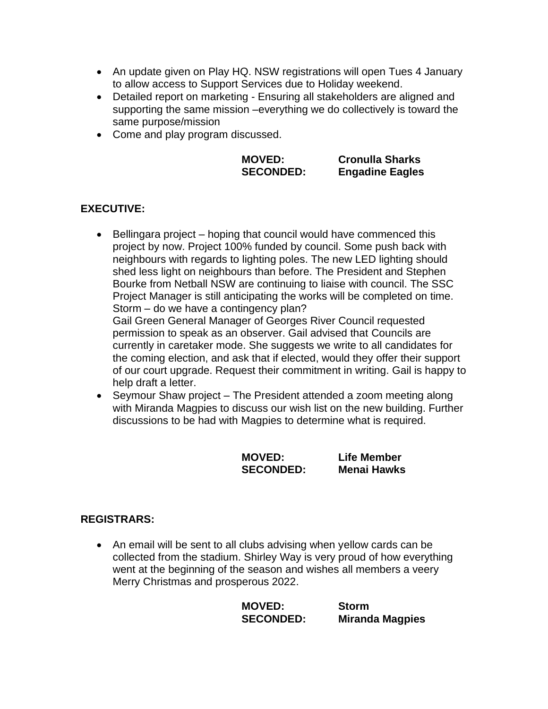- An update given on Play HQ. NSW registrations will open Tues 4 January to allow access to Support Services due to Holiday weekend.
- Detailed report on marketing Ensuring all stakeholders are aligned and supporting the same mission –everything we do collectively is toward the same purpose/mission
- Come and play program discussed.

| <b>MOVED:</b>    | <b>Cronulla Sharks</b> |
|------------------|------------------------|
| <b>SECONDED:</b> | <b>Engadine Eagles</b> |

# **EXECUTIVE:**

• Bellingara project – hoping that council would have commenced this project by now. Project 100% funded by council. Some push back with neighbours with regards to lighting poles. The new LED lighting should shed less light on neighbours than before. The President and Stephen Bourke from Netball NSW are continuing to liaise with council. The SSC Project Manager is still anticipating the works will be completed on time. Storm – do we have a contingency plan? Gail Green General Manager of Georges River Council requested

permission to speak as an observer. Gail advised that Councils are currently in caretaker mode. She suggests we write to all candidates for the coming election, and ask that if elected, would they offer their support of our court upgrade. Request their commitment in writing. Gail is happy to help draft a letter.

• Seymour Shaw project – The President attended a zoom meeting along with Miranda Magpies to discuss our wish list on the new building. Further discussions to be had with Magpies to determine what is required.

| <b>MOVED:</b>    | Life Member        |
|------------------|--------------------|
| <b>SECONDED:</b> | <b>Menai Hawks</b> |

## **REGISTRARS:**

• An email will be sent to all clubs advising when yellow cards can be collected from the stadium. Shirley Way is very proud of how everything went at the beginning of the season and wishes all members a veery Merry Christmas and prosperous 2022.

| <b>MOVED:</b>    | <b>Storm</b>           |
|------------------|------------------------|
| <b>SECONDED:</b> | <b>Miranda Magpies</b> |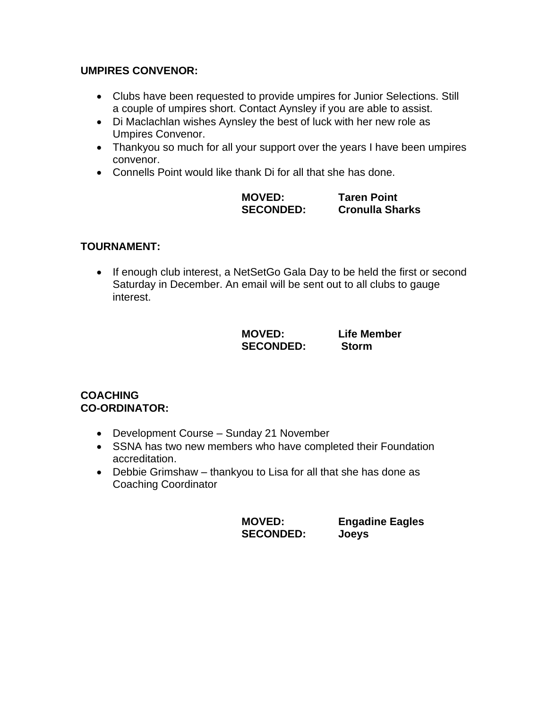# **UMPIRES CONVENOR:**

- Clubs have been requested to provide umpires for Junior Selections. Still a couple of umpires short. Contact Aynsley if you are able to assist.
- Di Maclachlan wishes Aynsley the best of luck with her new role as Umpires Convenor.
- Thankyou so much for all your support over the years I have been umpires convenor.
- Connells Point would like thank Di for all that she has done.

| <b>MOVED:</b>    | <b>Taren Point</b>     |
|------------------|------------------------|
| <b>SECONDED:</b> | <b>Cronulla Sharks</b> |

# **TOURNAMENT:**

• If enough club interest, a NetSetGo Gala Day to be held the first or second Saturday in December. An email will be sent out to all clubs to gauge interest.

| <b>MOVED:</b>    | Life Member  |
|------------------|--------------|
| <b>SECONDED:</b> | <b>Storm</b> |

## **COACHING CO-ORDINATOR:**

- Development Course Sunday 21 November
- SSNA has two new members who have completed their Foundation accreditation.
- Debbie Grimshaw thankyou to Lisa for all that she has done as Coaching Coordinator

**SECONDED: Joeys** 

**MOVED: Engadine Eagles**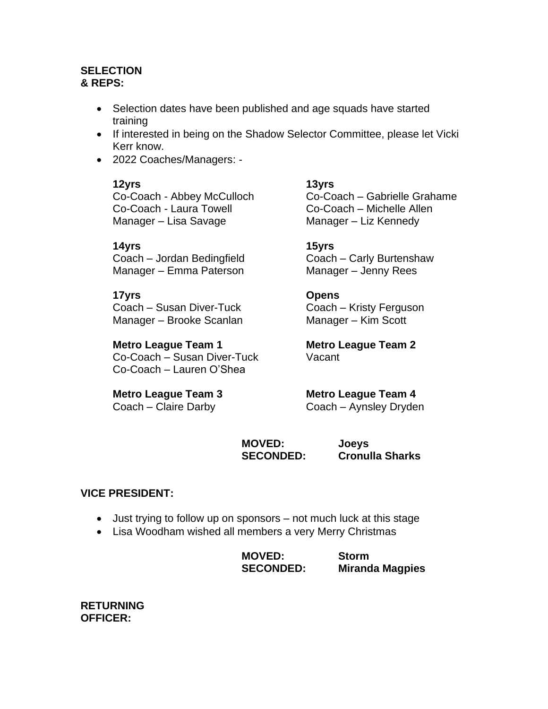## **SELECTION & REPS:**

- Selection dates have been published and age squads have started training
- If interested in being on the Shadow Selector Committee, please let Vicki Kerr know.
- 2022 Coaches/Managers: -

Co-Coach - Laura Towell Co-Coach – Michelle Allen Manager – Lisa Savage Manager – Liz Kennedy

# **14yrs 15yrs**

Coach – Jordan Bedingfield Coach – Carly Burtenshaw Manager – Emma Paterson Manager – Jenny Rees

Coach – Susan Diver-Tuck Coach – Kristy Ferguson Manager – Brooke Scanlan Manager – Kim Scott

# **Metro League Team 1 Metro League Team 2**

Co-Coach – Susan Diver-Tuck Vacant Co-Coach – Lauren O'Shea

# **12yrs 13yrs**

Co-Coach - Abbey McCulloch Co-Coach – Gabrielle Grahame

# **17yrs Opens**

# **Metro League Team 3 Metro League Team 4**

Coach – Claire Darby Coach – Aynsley Dryden

**MOVED: Joeys SECONDED: Cronulla Sharks** 

# **VICE PRESIDENT:**

- Just trying to follow up on sponsors not much luck at this stage
- Lisa Woodham wished all members a very Merry Christmas

| <b>MOVED:</b>    | <b>Storm</b>           |
|------------------|------------------------|
| <b>SECONDED:</b> | <b>Miranda Magpies</b> |

**RETURNING OFFICER:**